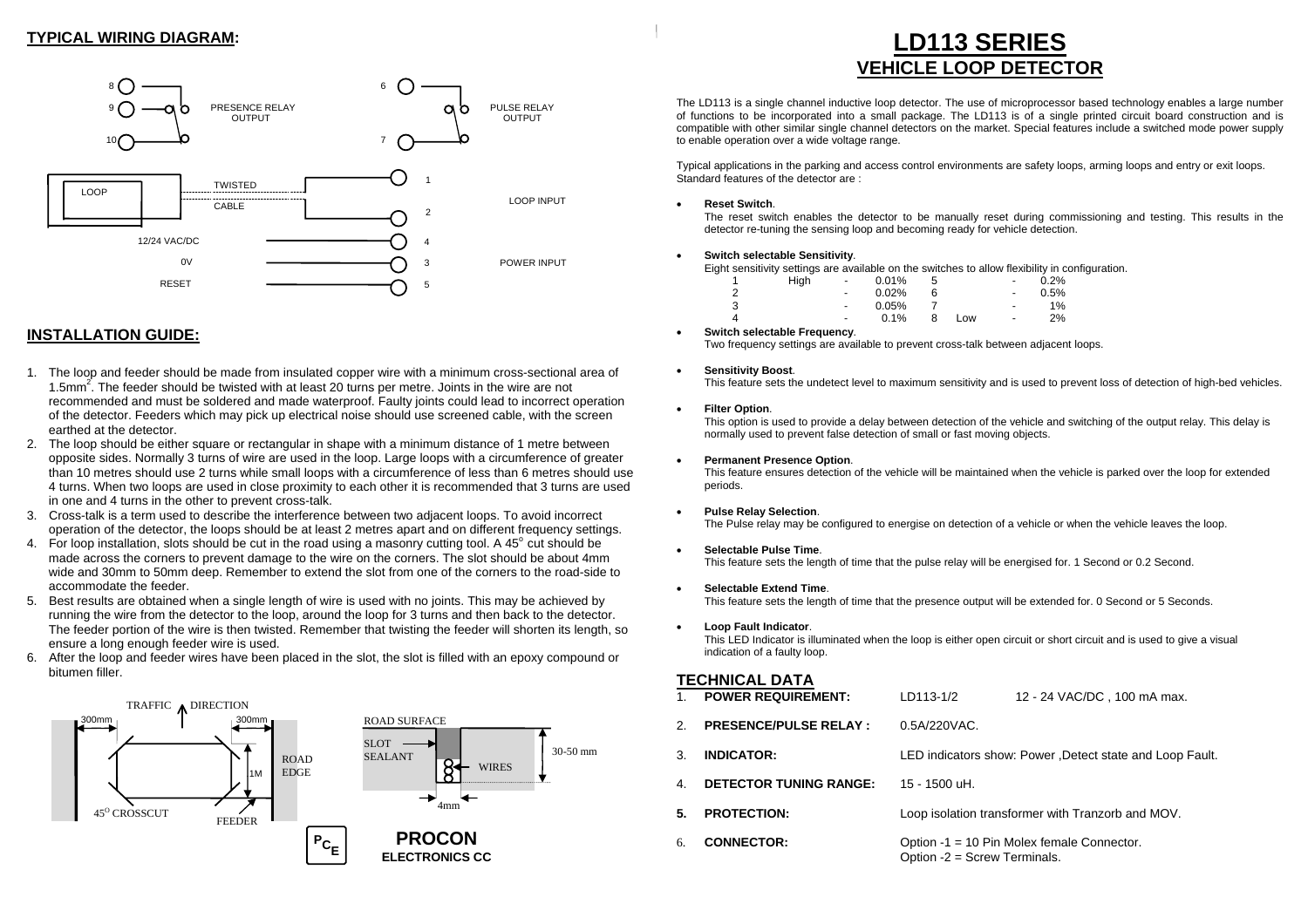## **TYPICAL WIRING DIAGRAM:**



## **INSTALLATION GUIDE:**

- 1. The loop and feeder should be made from insulated copper wire with a minimum cross-sectional area of 1.5mm2. The feeder should be twisted with at least 20 turns per metre. Joints in the wire are not recommended and must be soldered and made waterproof. Faulty joints could lead to incorrect operation of the detector. Feeders which may pick up electrical noise should use screened cable, with the screen earthed at the detector.
- 2. The loop should be either square or rectangular in shape with a minimum distance of 1 metre between opposite sides. Normally 3 turns of wire are used in the loop. Large loops with a circumference of greater than 10 metres should use 2 turns while small loops with a circumference of less than 6 metres should use 4 turns. When two loops are used in close proximity to each other it is recommended that 3 turns are used in one and 4 turns in the other to prevent cross-talk.
- 3. Cross-talk is a term used to describe the interference between two adjacent loops. To avoid incorrect operation of the detector, the loops should be at least 2 metres apart and on different frequency settings.
- 4. For loop installation, slots should be cut in the road using a masonry cutting tool. A 45 $^{\circ}$  cut should be made across the corners to prevent damage to the wire on the corners. The slot should be about 4mm wide and 30mm to 50mm deep. Remember to extend the slot from one of the corners to the road-side to accommodate the feeder.
- 5. Best results are obtained when a single length of wire is used with no joints. This may be achieved by running the wire from the detector to the loop, around the loop for 3 turns and then back to the detector. The feeder portion of the wire is then twisted. Remember that twisting the feeder will shorten its length, so ensure a long enough feeder wire is used.
- 6. After the loop and feeder wires have been placed in the slot, the slot is filled with an epoxy compound or bitumen filler.



# **LD113 SERIES VEHICLE LOOP DETECTOR**

The LD113 is a single channel inductive loop detector. The use of microprocessor based technology enables a large number of functions to be incorporated into a small package. The LD113 is of a single printed circuit board construction and is compatible with other similar single channel detectors on the market. Special features include a switched mode power supply to enable operation over a wide voltage range.

Typical applications in the parking and access control environments are safety loops, arming loops and entry or exit loops. Standard features of the detector are :

#### • **Reset Switch**.

 The reset switch enables the detector to be manually reset during commissioning and testing. This results in the detector re-tuning the sensing loop and becoming ready for vehicle detection.

#### • **Switch selectable Sensitivity**.

Eight sensitivity settings are available on the switches to allow flexibility in configuration.

|  | High | $\sim$                   | $0.01\%$ | 5 |     | $\sim$                   | 0.2%  |
|--|------|--------------------------|----------|---|-----|--------------------------|-------|
|  |      | $\sim$                   | $0.02\%$ |   |     | $\sim$                   | 0.5%  |
|  |      | $\sim$                   | 0.05%    |   |     | $\sim$                   | $1\%$ |
|  |      | $\overline{\phantom{0}}$ | 0.1%     | 8 | Low | $\overline{\phantom{a}}$ | 2%    |

• **Switch selectable Frequency**. Two frequency settings are available to prevent cross-talk between adjacent loops.

#### • **Sensitivity Boost**.

This feature sets the undetect level to maximum sensitivity and is used to prevent loss of detection of high-bed vehicles.

#### • **Filter Option**.

 This option is used to provide a delay between detection of the vehicle and switching of the output relay. This delay is normally used to prevent false detection of small or fast moving objects.

#### • **Permanent Presence Option**.

 This feature ensures detection of the vehicle will be maintained when the vehicle is parked over the loop for extended periods.

#### • **Pulse Relay Selection**.

The Pulse relay may be configured to energise on detection of a vehicle or when the vehicle leaves the loop.

#### • **Selectable Pulse Time**.

This feature sets the length of time that the pulse relay will be energised for. 1 Second or 0.2 Second.

#### • **Selectable Extend Time**.

This feature sets the length of time that the presence output will be extended for. 0 Second or 5 Seconds.

• **Loop Fault Indicator**.

 This LED Indicator is illuminated when the loop is either open circuit or short circuit and is used to give a visual indication of a faulty loop.

## **TECHNICAL DATA**

| $1_{-}$ | <b>POWER REQUIREMENT:</b>     | LD113-1/2                                                | 12 - 24 VAC/DC, 100 mA max.                       |  |
|---------|-------------------------------|----------------------------------------------------------|---------------------------------------------------|--|
| 2.      | <b>PRESENCE/PULSE RELAY:</b>  | 0.5A/220VAC.                                             |                                                   |  |
| 3.      | <b>INDICATOR:</b>             | LED indicators show: Power, Detect state and Loop Fault. |                                                   |  |
| 4.      | <b>DETECTOR TUNING RANGE:</b> | 15 - 1500 uH.                                            |                                                   |  |
| 5.      | <b>PROTECTION:</b>            |                                                          | Loop isolation transformer with Tranzorb and MOV. |  |
| б.      | <b>CONNECTOR:</b>             | Option -2 = Screw Terminals.                             | Option -1 = 10 Pin Molex female Connector.        |  |